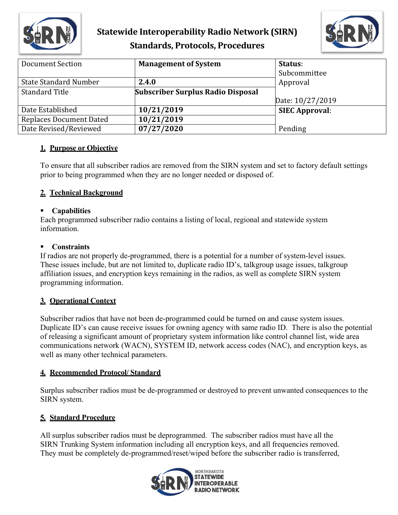

# **Statewide Interoperability Radio Network (SIRN) Standards, Protocols, Procedures**



| Document Section               | <b>Management of System</b>              | Status:               |
|--------------------------------|------------------------------------------|-----------------------|
|                                |                                          | Subcommittee          |
| <b>State Standard Number</b>   | 2.4.0                                    | Approval              |
| <b>Standard Title</b>          | <b>Subscriber Surplus Radio Disposal</b> |                       |
|                                |                                          | Date: 10/27/2019      |
| Date Established               | 10/21/2019                               | <b>SIEC Approval:</b> |
| <b>Replaces Document Dated</b> | 10/21/2019                               |                       |
| Date Revised/Reviewed          | 07/27/2020                               | Pending               |

#### **1. Purpose or Objective**

To ensure that all subscriber radios are removed from the SIRN system and set to factory default settings prior to being programmed when they are no longer needed or disposed of.

## **2. Technical Background**

#### **Capabilities**

Each programmed subscriber radio contains a listing of local, regional and statewide system information.

#### **Constraints**

If radios are not properly de-programmed, there is a potential for a number of system-level issues. These issues include, but are not limited to, duplicate radio ID's, talkgroup usage issues, talkgroup affiliation issues, and encryption keys remaining in the radios, as well as complete SIRN system programming information.

#### **3. Operational Context**

Subscriber radios that have not been de-programmed could be turned on and cause system issues. Duplicate ID's can cause receive issues for owning agency with same radio ID. There is also the potential of releasing a significant amount of proprietary system information like control channel list, wide area communications network (WACN), SYSTEM ID, network access codes (NAC), and encryption keys, as well as many other technical parameters.

#### **4. Recommended Protocol/ Standard**

Surplus subscriber radios must be de-programmed or destroyed to prevent unwanted consequences to the SIRN system.

#### **5. Standard Procedure**

All surplus subscriber radios must be deprogrammed. The subscriber radios must have all the SIRN Trunking System information including all encryption keys, and all frequencies removed. They must be completely de-programmed/reset/wiped before the subscriber radio is transferred,